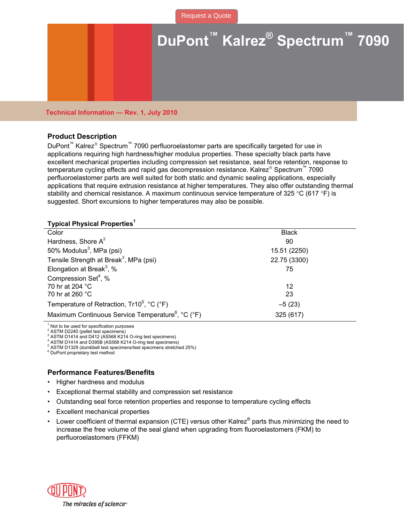# **DuPont™ Kalrez® Spectrum™ 7090**

**Technical Information — Rev. 1, July 2010** 

# **Product Description**

DuPont<sup>™</sup> Kalrez<sup>®</sup> Spectrum<sup>™</sup> 7090 perfluoroelastomer parts are specifically targeted for use in applications requiring high hardness/higher modulus properties. These specialty black parts have excellent mechanical properties including compression set resistance, seal force retention, response to temperature cycling effects and rapid gas decompression resistance. Kalrez<sup>®</sup> Spectrum<sup>™</sup> 7090 perfluoroelastomer parts are well suited for both static and dynamic sealing applications, especially applications that require extrusion resistance at higher temperatures. They also offer outstanding thermal stability and chemical resistance. A maximum continuous service temperature of 325 °C (617 °F) is suggested. Short excursions to higher temperatures may also be possible.

### **Typical Physical Properties<sup>1</sup>**

| <b>Black</b> |
|--------------|
| 90           |
| 15.51 (2250) |
| 22.75 (3300) |
| 75           |
|              |
| 12           |
| 23           |
| $-5(23)$     |
| 325 (617)    |
|              |

1 Not to be used for specification purposes

<sup>2</sup> ASTM D2240 (pellet test specimens) 3

ASTM D1414 and D412 (AS568 K214 O-ring test specimens)

4 ASTM D1414 and D395B (AS568 K214 O-ring test specimens)

 $^5$  ASTM D1329 (dumbbell test specimens/test specimens stretched 25%)

 $6$  DuPont proprietary test method

# **Performance Features/Benefits**

- Higher hardness and modulus
- Exceptional thermal stability and compression set resistance
- Outstanding seal force retention properties and response to temperature cycling effects
- **Excellent mechanical properties**
- Lower coefficient of thermal expansion (CTE) versus other Kalrez® parts thus minimizing the need to increase the free volume of the seal gland when upgrading from fluoroelastomers (FKM) to perfluoroelastomers (FFKM)